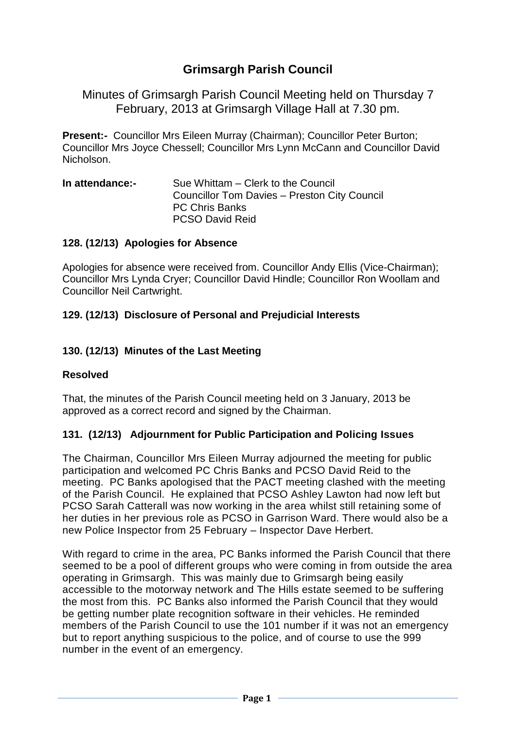# **Grimsargh Parish Council**

Minutes of Grimsargh Parish Council Meeting held on Thursday 7 February, 2013 at Grimsargh Village Hall at 7.30 pm.

**Present:-** Councillor Mrs Eileen Murray (Chairman); Councillor Peter Burton; Councillor Mrs Joyce Chessell; Councillor Mrs Lynn McCann and Councillor David Nicholson.

**In attendance:-** Sue Whittam – Clerk to the Council Councillor Tom Davies – Preston City Council PC Chris Banks PCSO David Reid

#### **128. (12/13) Apologies for Absence**

Apologies for absence were received from. Councillor Andy Ellis (Vice-Chairman); Councillor Mrs Lynda Cryer; Councillor David Hindle; Councillor Ron Woollam and Councillor Neil Cartwright.

### **129. (12/13) Disclosure of Personal and Prejudicial Interests**

### **130. (12/13) Minutes of the Last Meeting**

#### **Resolved**

That, the minutes of the Parish Council meeting held on 3 January, 2013 be approved as a correct record and signed by the Chairman.

#### **131. (12/13) Adjournment for Public Participation and Policing Issues**

The Chairman, Councillor Mrs Eileen Murray adjourned the meeting for public participation and welcomed PC Chris Banks and PCSO David Reid to the meeting. PC Banks apologised that the PACT meeting clashed with the meeting of the Parish Council. He explained that PCSO Ashley Lawton had now left but PCSO Sarah Catterall was now working in the area whilst still retaining some of her duties in her previous role as PCSO in Garrison Ward. There would also be a new Police Inspector from 25 February – Inspector Dave Herbert.

With regard to crime in the area, PC Banks informed the Parish Council that there seemed to be a pool of different groups who were coming in from outside the area operating in Grimsargh. This was mainly due to Grimsargh being easily accessible to the motorway network and The Hills estate seemed to be suffering the most from this. PC Banks also informed the Parish Council that they would be getting number plate recognition software in their vehicles. He reminded members of the Parish Council to use the 101 number if it was not an emergency but to report anything suspicious to the police, and of course to use the 999 number in the event of an emergency.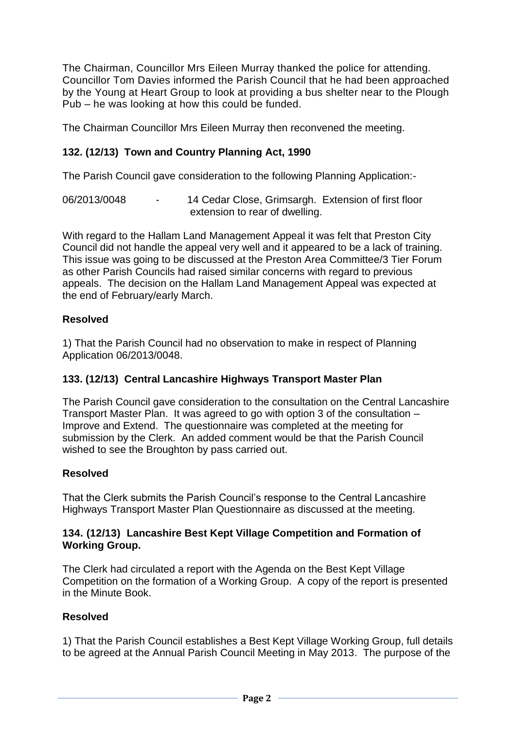The Chairman, Councillor Mrs Eileen Murray thanked the police for attending. Councillor Tom Davies informed the Parish Council that he had been approached by the Young at Heart Group to look at providing a bus shelter near to the Plough Pub – he was looking at how this could be funded.

The Chairman Councillor Mrs Eileen Murray then reconvened the meeting.

## **132. (12/13) Town and Country Planning Act, 1990**

The Parish Council gave consideration to the following Planning Application:-

06/2013/0048 - 14 Cedar Close, Grimsargh. Extension of first floor extension to rear of dwelling.

With regard to the Hallam Land Management Appeal it was felt that Preston City Council did not handle the appeal very well and it appeared to be a lack of training. This issue was going to be discussed at the Preston Area Committee/3 Tier Forum as other Parish Councils had raised similar concerns with regard to previous appeals. The decision on the Hallam Land Management Appeal was expected at the end of February/early March.

## **Resolved**

1) That the Parish Council had no observation to make in respect of Planning Application 06/2013/0048.

## **133. (12/13) Central Lancashire Highways Transport Master Plan**

The Parish Council gave consideration to the consultation on the Central Lancashire Transport Master Plan. It was agreed to go with option 3 of the consultation – Improve and Extend. The questionnaire was completed at the meeting for submission by the Clerk. An added comment would be that the Parish Council wished to see the Broughton by pass carried out.

## **Resolved**

That the Clerk submits the Parish Council's response to the Central Lancashire Highways Transport Master Plan Questionnaire as discussed at the meeting.

### **134. (12/13) Lancashire Best Kept Village Competition and Formation of Working Group.**

The Clerk had circulated a report with the Agenda on the Best Kept Village Competition on the formation of a Working Group. A copy of the report is presented in the Minute Book.

## **Resolved**

1) That the Parish Council establishes a Best Kept Village Working Group, full details to be agreed at the Annual Parish Council Meeting in May 2013. The purpose of the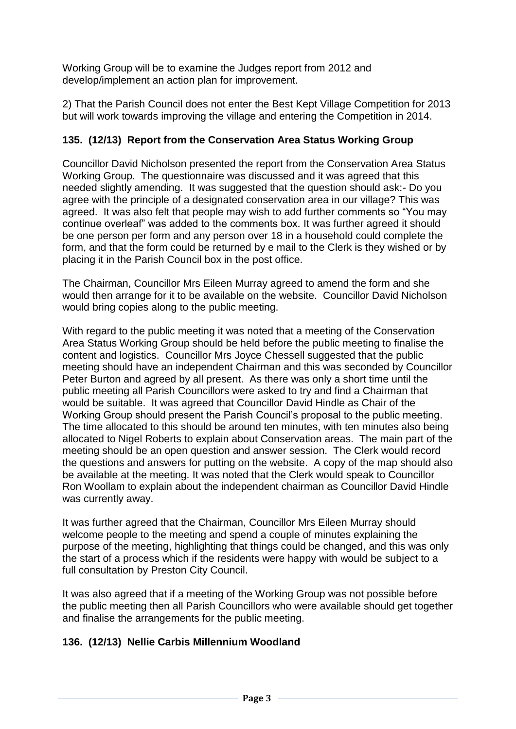Working Group will be to examine the Judges report from 2012 and develop/implement an action plan for improvement.

2) That the Parish Council does not enter the Best Kept Village Competition for 2013 but will work towards improving the village and entering the Competition in 2014.

## **135. (12/13) Report from the Conservation Area Status Working Group**

Councillor David Nicholson presented the report from the Conservation Area Status Working Group. The questionnaire was discussed and it was agreed that this needed slightly amending. It was suggested that the question should ask:- Do you agree with the principle of a designated conservation area in our village? This was agreed. It was also felt that people may wish to add further comments so "You may continue overleaf" was added to the comments box. It was further agreed it should be one person per form and any person over 18 in a household could complete the form, and that the form could be returned by e mail to the Clerk is they wished or by placing it in the Parish Council box in the post office.

The Chairman, Councillor Mrs Eileen Murray agreed to amend the form and she would then arrange for it to be available on the website. Councillor David Nicholson would bring copies along to the public meeting.

With regard to the public meeting it was noted that a meeting of the Conservation Area Status Working Group should be held before the public meeting to finalise the content and logistics. Councillor Mrs Joyce Chessell suggested that the public meeting should have an independent Chairman and this was seconded by Councillor Peter Burton and agreed by all present. As there was only a short time until the public meeting all Parish Councillors were asked to try and find a Chairman that would be suitable. It was agreed that Councillor David Hindle as Chair of the Working Group should present the Parish Council's proposal to the public meeting. The time allocated to this should be around ten minutes, with ten minutes also being allocated to Nigel Roberts to explain about Conservation areas. The main part of the meeting should be an open question and answer session. The Clerk would record the questions and answers for putting on the website. A copy of the map should also be available at the meeting. It was noted that the Clerk would speak to Councillor Ron Woollam to explain about the independent chairman as Councillor David Hindle was currently away.

It was further agreed that the Chairman, Councillor Mrs Eileen Murray should welcome people to the meeting and spend a couple of minutes explaining the purpose of the meeting, highlighting that things could be changed, and this was only the start of a process which if the residents were happy with would be subject to a full consultation by Preston City Council.

It was also agreed that if a meeting of the Working Group was not possible before the public meeting then all Parish Councillors who were available should get together and finalise the arrangements for the public meeting.

## **136. (12/13) Nellie Carbis Millennium Woodland**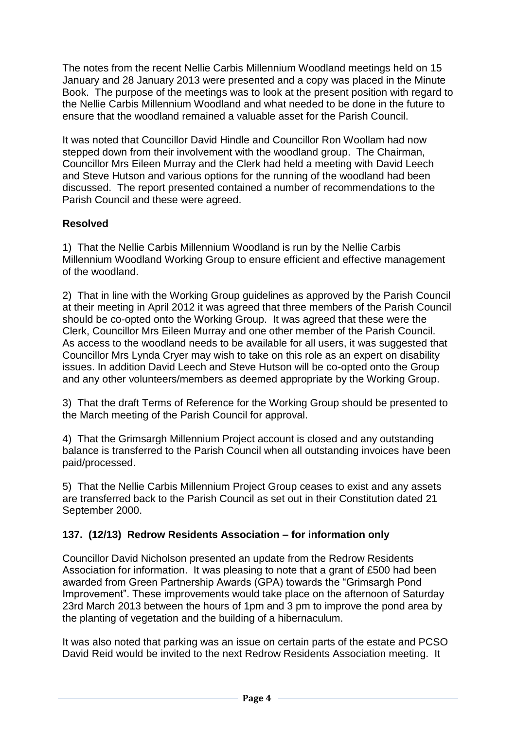The notes from the recent Nellie Carbis Millennium Woodland meetings held on 15 January and 28 January 2013 were presented and a copy was placed in the Minute Book. The purpose of the meetings was to look at the present position with regard to the Nellie Carbis Millennium Woodland and what needed to be done in the future to ensure that the woodland remained a valuable asset for the Parish Council.

It was noted that Councillor David Hindle and Councillor Ron Woollam had now stepped down from their involvement with the woodland group. The Chairman, Councillor Mrs Eileen Murray and the Clerk had held a meeting with David Leech and Steve Hutson and various options for the running of the woodland had been discussed. The report presented contained a number of recommendations to the Parish Council and these were agreed.

## **Resolved**

1) That the Nellie Carbis Millennium Woodland is run by the Nellie Carbis Millennium Woodland Working Group to ensure efficient and effective management of the woodland.

2) That in line with the Working Group guidelines as approved by the Parish Council at their meeting in April 2012 it was agreed that three members of the Parish Council should be co-opted onto the Working Group. It was agreed that these were the Clerk, Councillor Mrs Eileen Murray and one other member of the Parish Council. As access to the woodland needs to be available for all users, it was suggested that Councillor Mrs Lynda Cryer may wish to take on this role as an expert on disability issues. In addition David Leech and Steve Hutson will be co-opted onto the Group and any other volunteers/members as deemed appropriate by the Working Group.

3) That the draft Terms of Reference for the Working Group should be presented to the March meeting of the Parish Council for approval.

4) That the Grimsargh Millennium Project account is closed and any outstanding balance is transferred to the Parish Council when all outstanding invoices have been paid/processed.

5) That the Nellie Carbis Millennium Project Group ceases to exist and any assets are transferred back to the Parish Council as set out in their Constitution dated 21 September 2000.

## **137. (12/13) Redrow Residents Association – for information only**

Councillor David Nicholson presented an update from the Redrow Residents Association for information. It was pleasing to note that a grant of £500 had been awarded from Green Partnership Awards (GPA) towards the "Grimsargh Pond Improvement". These improvements would take place on the afternoon of Saturday 23rd March 2013 between the hours of 1pm and 3 pm to improve the pond area by the planting of vegetation and the building of a hibernaculum.

It was also noted that parking was an issue on certain parts of the estate and PCSO David Reid would be invited to the next Redrow Residents Association meeting. It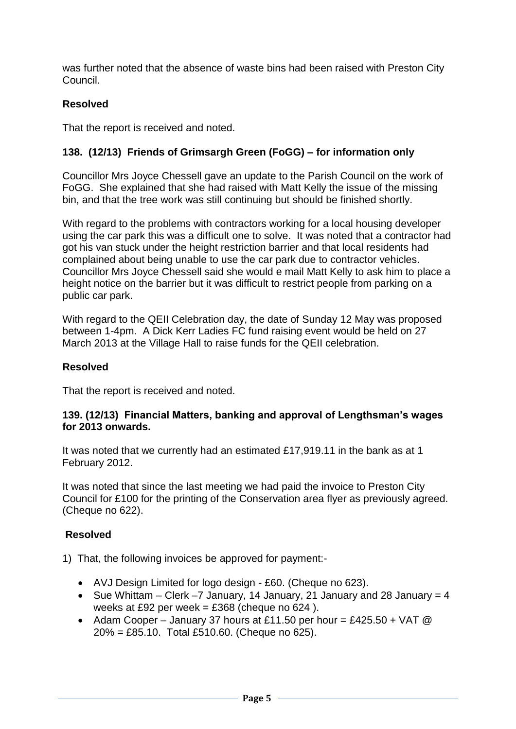was further noted that the absence of waste bins had been raised with Preston City Council.

## **Resolved**

That the report is received and noted.

## **138. (12/13) Friends of Grimsargh Green (FoGG) – for information only**

Councillor Mrs Joyce Chessell gave an update to the Parish Council on the work of FoGG. She explained that she had raised with Matt Kelly the issue of the missing bin, and that the tree work was still continuing but should be finished shortly.

With regard to the problems with contractors working for a local housing developer using the car park this was a difficult one to solve. It was noted that a contractor had got his van stuck under the height restriction barrier and that local residents had complained about being unable to use the car park due to contractor vehicles. Councillor Mrs Joyce Chessell said she would e mail Matt Kelly to ask him to place a height notice on the barrier but it was difficult to restrict people from parking on a public car park.

With regard to the QEII Celebration day, the date of Sunday 12 May was proposed between 1-4pm. A Dick Kerr Ladies FC fund raising event would be held on 27 March 2013 at the Village Hall to raise funds for the QEII celebration.

## **Resolved**

That the report is received and noted.

#### **139. (12/13) Financial Matters, banking and approval of Lengthsman's wages for 2013 onwards.**

It was noted that we currently had an estimated £17,919.11 in the bank as at 1 February 2012.

It was noted that since the last meeting we had paid the invoice to Preston City Council for £100 for the printing of the Conservation area flyer as previously agreed. (Cheque no 622).

## **Resolved**

1) That, the following invoices be approved for payment:-

- AVJ Design Limited for logo design £60. (Cheque no 623).
- Sue Whittam Clerk –7 January, 14 January, 21 January and 28 January = 4 weeks at £92 per week =  $£368$  (cheque no 624).
- Adam Cooper January 37 hours at £11.50 per hour = £425.50 + VAT  $@$ 20% = £85.10. Total £510.60. (Cheque no 625).